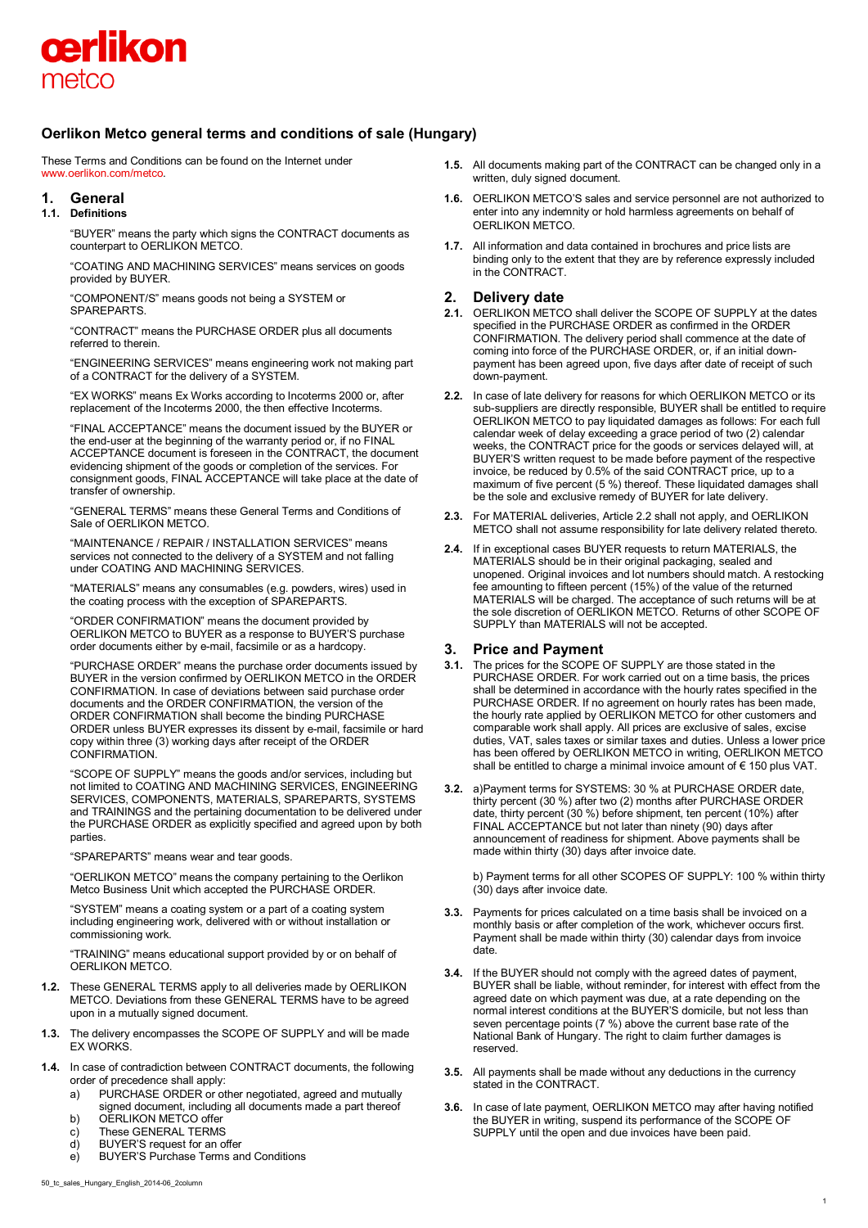

# **Oerlikon Metco general terms and conditions of sale (Hungary)**

These Terms and Conditions can be found on the Internet under [www.oerlikon.com/metco.](http://www.oerlikon.com/metco)

# **1. General**

## **1.1. Definitions**

"BUYER" means the party which signs the CONTRACT documents as counterpart to OERLIKON METCO.

"COATING AND MACHINING SERVICES" means services on goods provided by BUYER.

"COMPONENT/S" means goods not being a SYSTEM or SPAREPARTS.

"CONTRACT" means the PURCHASE ORDER plus all documents referred to therein.

"ENGINEERING SERVICES" means engineering work not making part of a CONTRACT for the delivery of a SYSTEM.

"EX WORKS" means Ex Works according to Incoterms 2000 or, after replacement of the Incoterms 2000, the then effective Incoterms.

"FINAL ACCEPTANCE" means the document issued by the BUYER or the end-user at the beginning of the warranty period or, if no FINAL ACCEPTANCE document is foreseen in the CONTRACT, the document evidencing shipment of the goods or completion of the services. For consignment goods, FINAL ACCEPTANCE will take place at the date of transfer of ownership.

"GENERAL TERMS" means these General Terms and Conditions of Sale of OERLIKON METCO.

"MAINTENANCE / REPAIR / INSTALLATION SERVICES" means services not connected to the delivery of a SYSTEM and not falling under COATING AND MACHINING SERVICES.

"MATERIALS" means any consumables (e.g. powders, wires) used in the coating process with the exception of SPAREPARTS.

"ORDER CONFIRMATION" means the document provided by OERLIKON METCO to BUYER as a response to BUYER'S purchase order documents either by e-mail, facsimile or as a hardcopy.

"PURCHASE ORDER" means the purchase order documents issued by BUYER in the version confirmed by OERLIKON METCO in the ORDER CONFIRMATION. In case of deviations between said purchase order documents and the ORDER CONFIRMATION, the version of the ORDER CONFIRMATION shall become the binding PURCHASE ORDER unless BUYER expresses its dissent by e-mail, facsimile or hard copy within three (3) working days after receipt of the ORDER CONFIRMATION.

"SCOPE OF SUPPLY" means the goods and/or services, including but not limited to COATING AND MACHINING SERVICES, ENGINEERING SERVICES, COMPONENTS, MATERIALS, SPAREPARTS, SYSTEMS and TRAININGS and the pertaining documentation to be delivered under the PURCHASE ORDER as explicitly specified and agreed upon by both parties.

"SPAREPARTS" means wear and tear goods.

"OERLIKON METCO" means the company pertaining to the Oerlikon Metco Business Unit which accepted the PURCHASE ORDER.

"SYSTEM" means a coating system or a part of a coating system including engineering work, delivered with or without installation or commissioning work.

"TRAINING" means educational support provided by or on behalf of OERLIKON METCO.

- **1.2.** These GENERAL TERMS apply to all deliveries made by OERLIKON METCO. Deviations from these GENERAL TERMS have to be agreed upon in a mutually signed document.
- **1.3.** The delivery encompasses the SCOPE OF SUPPLY and will be made **EX WORKS**
- **1.4.** In case of contradiction between CONTRACT documents, the following order of precedence shall apply:
	- a) PURCHASE ORDER or other negotiated, agreed and mutually
	- signed document, including all documents made a part thereof b) OERLIKON METCO offer
	- c) These GENERAL TERMS<br>d) BUYER'S request for an o
	- BUYER'S request for an offer
	- e) BUYER'S Purchase Terms and Conditions
- **1.5.** All documents making part of the CONTRACT can be changed only in a written, duly signed document.
- **1.6.** OERLIKON METCO'S sales and service personnel are not authorized to enter into any indemnity or hold harmless agreements on behalf of OERLIKON METCO.
- **1.7.** All information and data contained in brochures and price lists are binding only to the extent that they are by reference expressly included in the CONTRACT.

# **2. Delivery date**

- **2.1.** OERLIKON METCO shall deliver the SCOPE OF SUPPLY at the dates specified in the PURCHASE ORDER as confirmed in the ORDER CONFIRMATION. The delivery period shall commence at the date of coming into force of the PURCHASE ORDER, or, if an initial downpayment has been agreed upon, five days after date of receipt of such down-payment.
- **2.2.** In case of late delivery for reasons for which OERLIKON METCO or its sub-suppliers are directly responsible, BUYER shall be entitled to require OERLIKON METCO to pay liquidated damages as follows: For each full calendar week of delay exceeding a grace period of two (2) calendar weeks, the CONTRACT price for the goods or services delayed will, at BUYER'S written request to be made before payment of the respective invoice, be reduced by 0.5% of the said CONTRACT price, up to a maximum of five percent (5 %) thereof. These liquidated damages shall be the sole and exclusive remedy of BUYER for late delivery.
- **2.3.** For MATERIAL deliveries, Article 2.2 shall not apply, and OERLIKON METCO shall not assume responsibility for late delivery related thereto.
- **2.4.** If in exceptional cases BUYER requests to return MATERIALS, the MATERIALS should be in their original packaging, sealed and unopened. Original invoices and lot numbers should match. A restocking fee amounting to fifteen percent (15%) of the value of the returned MATERIALS will be charged. The acceptance of such returns will be at the sole discretion of OERLIKON METCO. Returns of other SCOPE OF SUPPLY than MATERIALS will not be accepted.

# **3. Price and Payment**

- **3.1.** The prices for the SCOPE OF SUPPLY are those stated in the PURCHASE ORDER. For work carried out on a time basis, the prices shall be determined in accordance with the hourly rates specified in the PURCHASE ORDER. If no agreement on hourly rates has been made, the hourly rate applied by OERLIKON METCO for other customers and comparable work shall apply. All prices are exclusive of sales, excise duties, VAT, sales taxes or similar taxes and duties. Unless a lower price has been offered by OERLIKON METCO in writing, OERLIKON METCO shall be entitled to charge a minimal invoice amount of € 150 plus VAT.
- **3.2.** a)Payment terms for SYSTEMS: 30 % at PURCHASE ORDER date, thirty percent (30 %) after two (2) months after PURCHASE ORDER date, thirty percent (30 %) before shipment, ten percent (10%) after FINAL ACCEPTANCE but not later than ninety (90) days after announcement of readiness for shipment. Above payments shall be made within thirty (30) days after invoice date.

b) Payment terms for all other SCOPES OF SUPPLY: 100 % within thirty (30) days after invoice date.

- **3.3.** Payments for prices calculated on a time basis shall be invoiced on a monthly basis or after completion of the work, whichever occurs first. Payment shall be made within thirty (30) calendar days from invoice date.
- **3.4.** If the BUYER should not comply with the agreed dates of payment, BUYER shall be liable, without reminder, for interest with effect from the agreed date on which payment was due, at a rate depending on the normal interest conditions at the BUYER'S domicile, but not less than seven percentage points (7 %) above the current base rate of the National Bank of Hungary. The right to claim further damages is reserved.
- **3.5.** All payments shall be made without any deductions in the currency stated in the CONTRACT.
- **3.6.** In case of late payment, OERLIKON METCO may after having notified the BUYER in writing, suspend its performance of the SCOPE OF SUPPLY until the open and due invoices have been paid.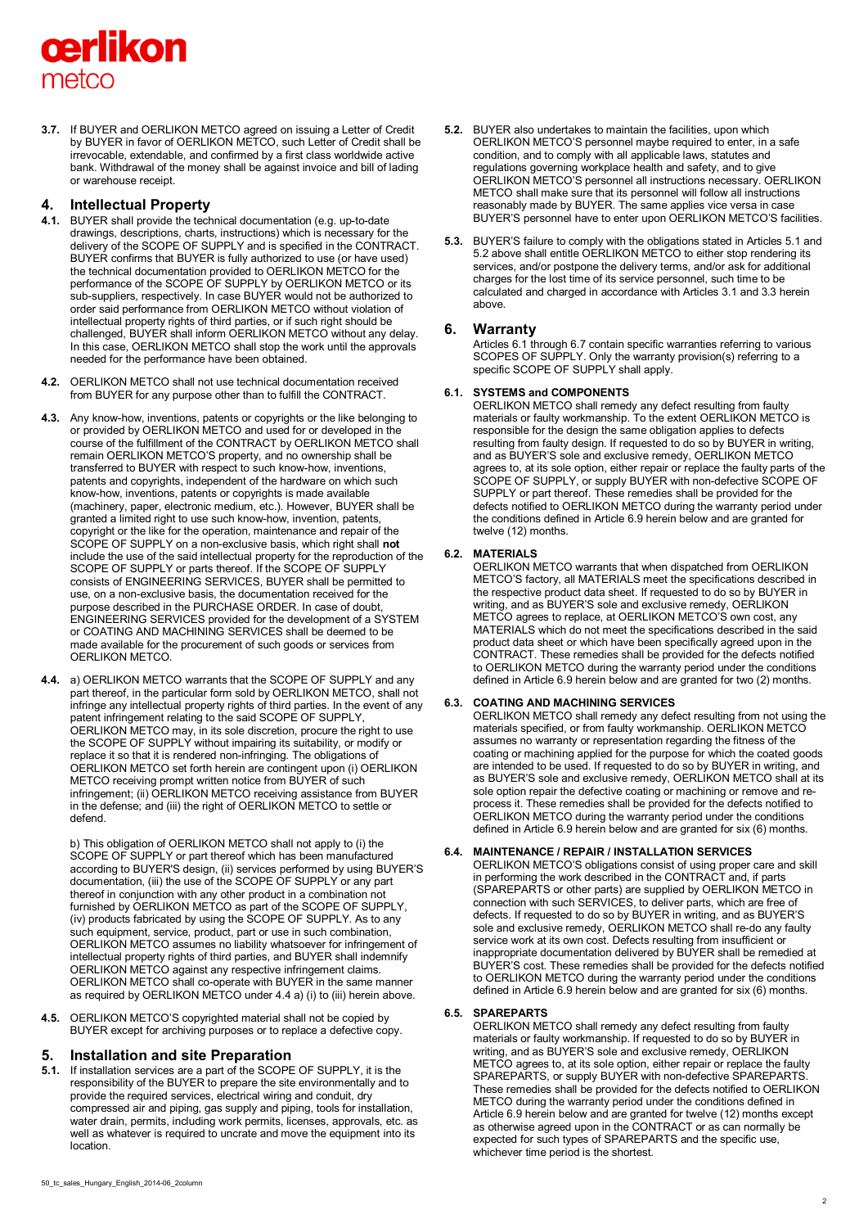# cerlikon metco

**3.7.** If BUYER and OERLIKON METCO agreed on issuing a Letter of Credit by BUYER in favor of OERLIKON METCO, such Letter of Credit shall be irrevocable, extendable, and confirmed by a first class worldwide active bank. Withdrawal of the money shall be against invoice and bill of lading or warehouse receipt.

# **4. Intellectual Property**

- **4.1.** BUYER shall provide the technical documentation (e.g. up-to-date drawings, descriptions, charts, instructions) which is necessary for the delivery of the SCOPE OF SUPPLY and is specified in the CONTRACT. BUYER confirms that BUYER is fully authorized to use (or have used) the technical documentation provided to OERLIKON METCO for the performance of the SCOPE OF SUPPLY by OERLIKON METCO or its sub-suppliers, respectively. In case BUYER would not be authorized to order said performance from OERLIKON METCO without violation of intellectual property rights of third parties, or if such right should be challenged, BUYER shall inform OERLIKON METCO without any delay. In this case, OERLIKON METCO shall stop the work until the approvals needed for the performance have been obtained.
- **4.2.** OERLIKON METCO shall not use technical documentation received from BUYER for any purpose other than to fulfill the CONTRACT.
- **4.3.** Any know-how, inventions, patents or copyrights or the like belonging to or provided by OERLIKON METCO and used for or developed in the course of the fulfillment of the CONTRACT by OERLIKON METCO shall remain OERLIKON METCO'S property, and no ownership shall be transferred to BUYER with respect to such know-how, inventions, patents and copyrights, independent of the hardware on which such know-how, inventions, patents or copyrights is made available (machinery, paper, electronic medium, etc.). However, BUYER shall be granted a limited right to use such know-how, invention, patents, copyright or the like for the operation, maintenance and repair of the SCOPE OF SUPPLY on a non-exclusive basis, which right shall **not**  include the use of the said intellectual property for the reproduction of the SCOPE OF SUPPLY or parts thereof. If the SCOPE OF SUPPLY consists of ENGINEERING SERVICES, BUYER shall be permitted to use, on a non-exclusive basis, the documentation received for the purpose described in the PURCHASE ORDER. In case of doubt, ENGINEERING SERVICES provided for the development of a SYSTEM or COATING AND MACHINING SERVICES shall be deemed to be made available for the procurement of such goods or services from OERLIKON METCO.
- **4.4.** a) OERLIKON METCO warrants that the SCOPE OF SUPPLY and any part thereof, in the particular form sold by OERLIKON METCO, shall not infringe any intellectual property rights of third parties. In the event of any patent infringement relating to the said SCOPE OF SUPPLY, OERLIKON METCO may, in its sole discretion, procure the right to use the SCOPE OF SUPPLY without impairing its suitability, or modify or replace it so that it is rendered non-infringing. The obligations of OERLIKON METCO set forth herein are contingent upon (i) OERLIKON METCO receiving prompt written notice from BUYER of such infringement; (ii) OERLIKON METCO receiving assistance from BUYER in the defense; and (iii) the right of OERLIKON METCO to settle or defend.

b) This obligation of OERLIKON METCO shall not apply to (i) the SCOPE OF SUPPLY or part thereof which has been manufactured according to BUYER'S design, (ii) services performed by using BUYER'S documentation, (iii) the use of the SCOPE OF SUPPLY or any part thereof in conjunction with any other product in a combination not furnished by OERLIKON METCO as part of the SCOPE OF SUPPLY, (iv) products fabricated by using the SCOPE OF SUPPLY. As to any such equipment, service, product, part or use in such combination, OERLIKON METCO assumes no liability whatsoever for infringement of intellectual property rights of third parties, and BUYER shall indemnify OERLIKON METCO against any respective infringement claims. OERLIKON METCO shall co-operate with BUYER in the same manner as required by OERLIKON METCO under 4.4 a) (i) to (iii) herein above.

**4.5.** OERLIKON METCO'S copyrighted material shall not be copied by BUYER except for archiving purposes or to replace a defective copy.

# **5. Installation and site Preparation**

**5.1.** If installation services are a part of the SCOPE OF SUPPLY, it is the responsibility of the BUYER to prepare the site environmentally and to provide the required services, electrical wiring and conduit, dry compressed air and piping, gas supply and piping, tools for installation, water drain, permits, including work permits, licenses, approvals, etc. as well as whatever is required to uncrate and move the equipment into its location.

**5.3.** BUYER'S failure to comply with the obligations stated in Articles 5.1 and 5.2 above shall entitle OERLIKON METCO to either stop rendering its services, and/or postpone the delivery terms, and/or ask for additional charges for the lost time of its service personnel, such time to be calculated and charged in accordance with Articles 3.1 and 3.3 herein above.

# **6. Warranty**

Articles 6.1 through 6.7 contain specific warranties referring to various SCOPES OF SUPPLY. Only the warranty provision(s) referring to a specific SCOPE OF SUPPLY shall apply.

## **6.1. SYSTEMS and COMPONENTS**

OERLIKON METCO shall remedy any defect resulting from faulty materials or faulty workmanship. To the extent OERLIKON METCO is responsible for the design the same obligation applies to defects resulting from faulty design. If requested to do so by BUYER in writing, and as BUYER'S sole and exclusive remedy, OERLIKON METCO agrees to, at its sole option, either repair or replace the faulty parts of the SCOPE OF SUPPLY, or supply BUYER with non-defective SCOPE OF SUPPLY or part thereof. These remedies shall be provided for the defects notified to OERLIKON METCO during the warranty period under the conditions defined in Article 6.9 herein below and are granted for twelve (12) months.

## **6.2. MATERIALS**

OERLIKON METCO warrants that when dispatched from OERLIKON METCO'S factory, all MATERIALS meet the specifications described in the respective product data sheet. If requested to do so by BUYER in writing, and as BUYER'S sole and exclusive remedy, OERLIKON METCO agrees to replace, at OERLIKON METCO'S own cost, any MATERIALS which do not meet the specifications described in the said product data sheet or which have been specifically agreed upon in the CONTRACT. These remedies shall be provided for the defects notified to OERLIKON METCO during the warranty period under the conditions defined in Article 6.9 herein below and are granted for two (2) months.

# **6.3. COATING AND MACHINING SERVICES**

OERLIKON METCO shall remedy any defect resulting from not using the materials specified, or from faulty workmanship. OERLIKON METCO assumes no warranty or representation regarding the fitness of the coating or machining applied for the purpose for which the coated goods are intended to be used. If requested to do so by BUYER in writing, and as BUYER'S sole and exclusive remedy, OERLIKON METCO shall at its sole option repair the defective coating or machining or remove and reprocess it. These remedies shall be provided for the defects notified to OERLIKON METCO during the warranty period under the conditions defined in Article 6.9 herein below and are granted for six (6) months.

# **6.4. MAINTENANCE / REPAIR / INSTALLATION SERVICES**

OERLIKON METCO'S obligations consist of using proper care and skill in performing the work described in the CONTRACT and, if parts (SPAREPARTS or other parts) are supplied by OERLIKON METCO in connection with such SERVICES, to deliver parts, which are free of defects. If requested to do so by BUYER in writing, and as BUYER'S sole and exclusive remedy, OERLIKON METCO shall re-do any faulty service work at its own cost. Defects resulting from insufficient or inappropriate documentation delivered by BUYER shall be remedied at BUYER'S cost. These remedies shall be provided for the defects notified to OERLIKON METCO during the warranty period under the conditions defined in Article 6.9 herein below and are granted for six (6) months.

## **6.5. SPAREPARTS**

OERLIKON METCO shall remedy any defect resulting from faulty materials or faulty workmanship. If requested to do so by BUYER in writing, and as BUYER'S sole and exclusive remedy, OERLIKON METCO agrees to, at its sole option, either repair or replace the faulty SPAREPARTS, or supply BUYER with non-defective SPAREPARTS. These remedies shall be provided for the defects notified to OERLIKON METCO during the warranty period under the conditions defined in Article 6.9 herein below and are granted for twelve (12) months except as otherwise agreed upon in the CONTRACT or as can normally be expected for such types of SPAREPARTS and the specific use, whichever time period is the shortest.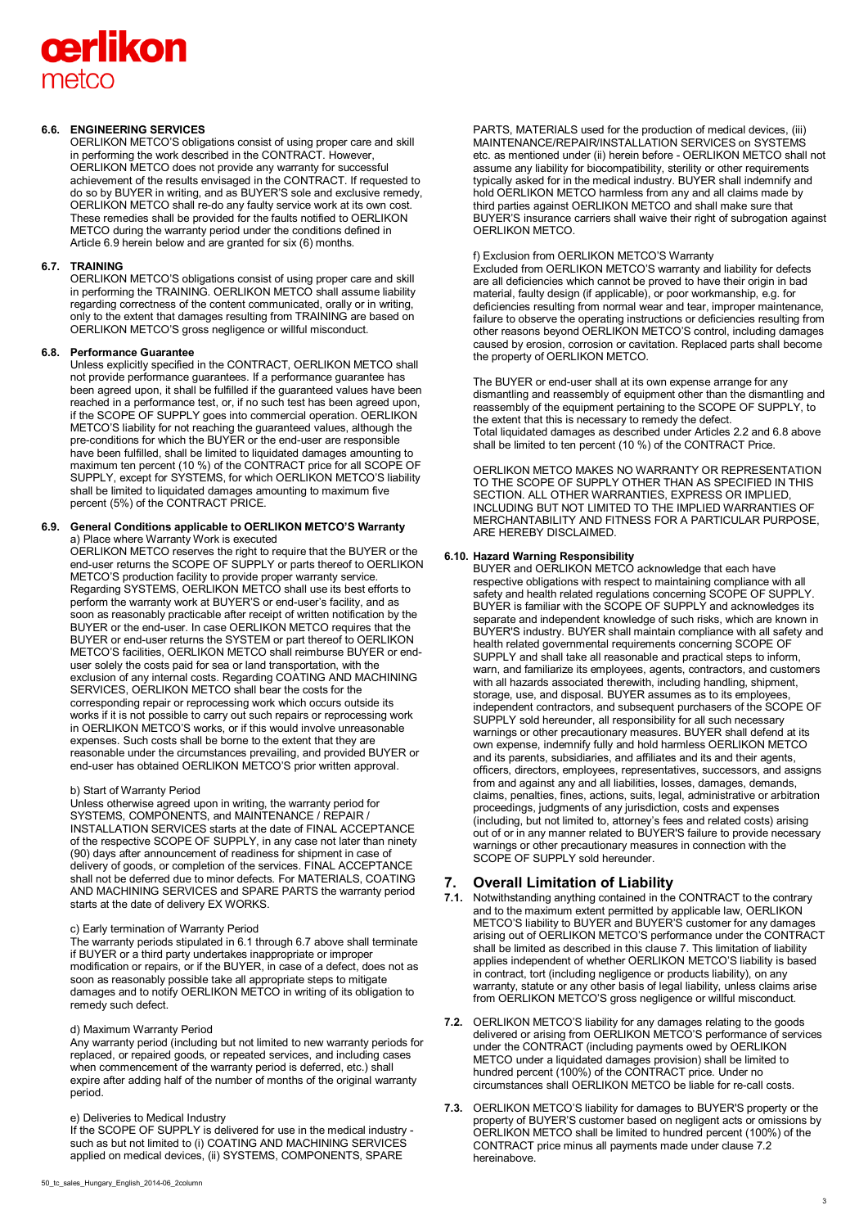# cerlikon metco

## **6.6. ENGINEERING SERVICES**

OERLIKON METCO'S obligations consist of using proper care and skill in performing the work described in the CONTRACT. However, OERLIKON METCO does not provide any warranty for successful achievement of the results envisaged in the CONTRACT. If requested to do so by BUYER in writing, and as BUYER'S sole and exclusive remedy, OERLIKON METCO shall re-do any faulty service work at its own cost. These remedies shall be provided for the faults notified to OERLIKON METCO during the warranty period under the conditions defined in Article 6.9 herein below and are granted for six (6) months.

## **6.7. TRAINING**

OERLIKON METCO'S obligations consist of using proper care and skill in performing the TRAINING. OERLIKON METCO shall assume liability regarding correctness of the content communicated, orally or in writing, only to the extent that damages resulting from TRAINING are based on OERLIKON METCO'S gross negligence or willful misconduct.

## **6.8. Performance Guarantee**

Unless explicitly specified in the CONTRACT, OERLIKON METCO shall not provide performance guarantees. If a performance guarantee has been agreed upon, it shall be fulfilled if the guaranteed values have been reached in a performance test, or, if no such test has been agreed upon, if the SCOPE OF SUPPLY goes into commercial operation. OERLIKON METCO'S liability for not reaching the guaranteed values, although the pre-conditions for which the BUYER or the end-user are responsible have been fulfilled, shall be limited to liquidated damages amounting to maximum ten percent (10 %) of the CONTRACT price for all SCOPE OF SUPPLY, except for SYSTEMS, for which OERLIKON METCO'S liability shall be limited to liquidated damages amounting to maximum five percent (5%) of the CONTRACT PRICE.

#### **6.9. General Conditions applicable to OERLIKON METCO'S Warranty** a) Place where Warranty Work is executed

OERLIKON METCO reserves the right to require that the BUYER or the end-user returns the SCOPE OF SUPPLY or parts thereof to OERLIKON METCO'S production facility to provide proper warranty service. Regarding SYSTEMS, OERLIKON METCO shall use its best efforts to perform the warranty work at BUYER'S or end-user's facility, and as soon as reasonably practicable after receipt of written notification by the BUYER or the end-user. In case OERLIKON METCO requires that the BUYER or end-user returns the SYSTEM or part thereof to OERLIKON METCO'S facilities, OERLIKON METCO shall reimburse BUYER or enduser solely the costs paid for sea or land transportation, with the exclusion of any internal costs. Regarding COATING AND MACHINING SERVICES, OERLIKON METCO shall bear the costs for the corresponding repair or reprocessing work which occurs outside its works if it is not possible to carry out such repairs or reprocessing work in OERLIKON METCO'S works, or if this would involve unreasonable expenses. Such costs shall be borne to the extent that they are reasonable under the circumstances prevailing, and provided BUYER or end-user has obtained OERLIKON METCO'S prior written approval.

## b) Start of Warranty Period

Unless otherwise agreed upon in writing, the warranty period for SYSTEMS, COMPONENTS, and MAINTENANCE / REPAIR / INSTALLATION SERVICES starts at the date of FINAL ACCEPTANCE of the respective SCOPE OF SUPPLY, in any case not later than ninety (90) days after announcement of readiness for shipment in case of delivery of goods, or completion of the services. FINAL ACCEPTANCE shall not be deferred due to minor defects. For MATERIALS, COATING AND MACHINING SERVICES and SPARE PARTS the warranty period starts at the date of delivery EX WORKS.

#### c) Early termination of Warranty Period

The warranty periods stipulated in 6.1 through 6.7 above shall terminate if BUYER or a third party undertakes inappropriate or improper modification or repairs, or if the BUYER, in case of a defect, does not as soon as reasonably possible take all appropriate steps to mitigate damages and to notify OERLIKON METCO in writing of its obligation to remedy such defect.

#### d) Maximum Warranty Period

Any warranty period (including but not limited to new warranty periods for replaced, or repaired goods, or repeated services, and including cases when commencement of the warranty period is deferred, etc.) shall expire after adding half of the number of months of the original warranty period.

## e) Deliveries to Medical Industry

If the SCOPE OF SUPPLY is delivered for use in the medical industry such as but not limited to (i) COATING AND MACHINING SERVICES applied on medical devices, (ii) SYSTEMS, COMPONENTS, SPARE

PARTS, MATERIALS used for the production of medical devices, (iii) MAINTENANCE/REPAIR/INSTALLATION SERVICES on SYSTEMS etc. as mentioned under (ii) herein before - OERLIKON METCO shall not assume any liability for biocompatibility, sterility or other requirements typically asked for in the medical industry. BUYER shall indemnify and hold OERLIKON METCO harmless from any and all claims made by third parties against OERLIKON METCO and shall make sure that BUYER'S insurance carriers shall waive their right of subrogation against OERLIKON METCO.

#### f) Exclusion from OERLIKON METCO'S Warranty

Excluded from OERLIKON METCO'S warranty and liability for defects are all deficiencies which cannot be proved to have their origin in bad material, faulty design (if applicable), or poor workmanship, e.g. for deficiencies resulting from normal wear and tear, improper maintenance, failure to observe the operating instructions or deficiencies resulting from other reasons beyond OERLIKON METCO'S control, including damages caused by erosion, corrosion or cavitation. Replaced parts shall become the property of OERLIKON METCO.

The BUYER or end-user shall at its own expense arrange for any dismantling and reassembly of equipment other than the dismantling and reassembly of the equipment pertaining to the SCOPE OF SUPPLY, to the extent that this is necessary to remedy the defect. Total liquidated damages as described under Articles 2.2 and 6.8 above shall be limited to ten percent (10 %) of the CONTRACT Price.

OERLIKON METCO MAKES NO WARRANTY OR REPRESENTATION TO THE SCOPE OF SUPPLY OTHER THAN AS SPECIFIED IN THIS SECTION. ALL OTHER WARRANTIES, EXPRESS OR IMPLIED, INCLUDING BUT NOT LIMITED TO THE IMPLIED WARRANTIES OF MERCHANTABILITY AND FITNESS FOR A PARTICULAR PURPOSE, ARE HEREBY DISCLAIMED.

## **6.10. Hazard Warning Responsibility**

BUYER and OERLIKON METCO acknowledge that each have respective obligations with respect to maintaining compliance with all safety and health related regulations concerning SCOPE OF SUPPLY. BUYER is familiar with the SCOPE OF SUPPLY and acknowledges its separate and independent knowledge of such risks, which are known in BUYER'S industry. BUYER shall maintain compliance with all safety and health related governmental requirements concerning SCOPE OF SUPPLY and shall take all reasonable and practical steps to inform, warn, and familiarize its employees, agents, contractors, and customers with all hazards associated therewith, including handling, shipment, storage, use, and disposal. BUYER assumes as to its employees, independent contractors, and subsequent purchasers of the SCOPE OF SUPPLY sold hereunder, all responsibility for all such necessary warnings or other precautionary measures. BUYER shall defend at its own expense, indemnify fully and hold harmless OERLIKON METCO and its parents, subsidiaries, and affiliates and its and their agents, officers, directors, employees, representatives, successors, and assigns from and against any and all liabilities, losses, damages, demands, claims, penalties, fines, actions, suits, legal, administrative or arbitration proceedings, judgments of any jurisdiction, costs and expenses (including, but not limited to, attorney's fees and related costs) arising out of or in any manner related to BUYER'S failure to provide necessary warnings or other precautionary measures in connection with the SCOPE OF SUPPLY sold hereunder.

# **7. Overall Limitation of Liability**

- **7.1.** Notwithstanding anything contained in the CONTRACT to the contrary and to the maximum extent permitted by applicable law, OERLIKON METCO'S liability to BUYER and BUYER'S customer for any damages arising out of OERLIKON METCO'S performance under the CONTRACT shall be limited as described in this clause 7. This limitation of liability applies independent of whether OERLIKON METCO'S liability is based in contract, tort (including negligence or products liability), on any warranty, statute or any other basis of legal liability, unless claims arise from OERLIKON METCO'S gross negligence or willful misconduct.
- **7.2.** OERLIKON METCO'S liability for any damages relating to the goods delivered or arising from OERLIKON METCO'S performance of services under the CONTRACT (including payments owed by OERLIKON METCO under a liquidated damages provision) shall be limited to hundred percent (100%) of the CONTRACT price. Under no circumstances shall OERLIKON METCO be liable for re-call costs.
- **7.3.** OERLIKON METCO'S liability for damages to BUYER'S property or the property of BUYER'S customer based on negligent acts or omissions by OERLIKON METCO shall be limited to hundred percent (100%) of the CONTRACT price minus all payments made under clause 7.2 hereinabove.